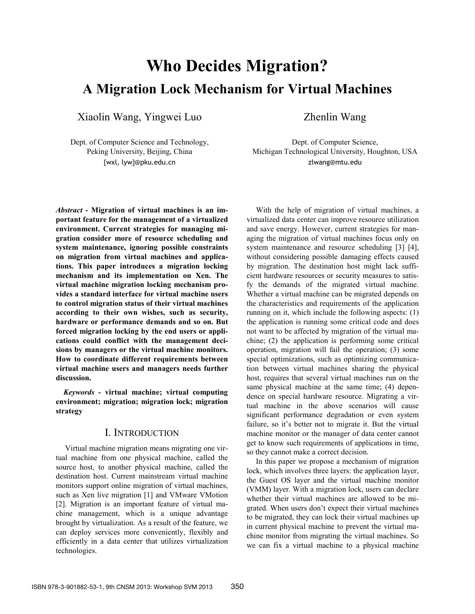# **Who Decides Migration? A Migration Lock Mechanism for Virtual Machines**

Xiaolin Wang, Yingwei Luo

Dept. of Computer Science and Technology, Peking University, Beijing, China {wxl, lyw}@pku.edu.cn

Zhenlin Wang

*Abstract* **- Migration of virtual machines is an important feature for the management of a virtualized environment. Current strategies for managing migration consider more of resource scheduling and system maintenance, ignoring possible constraints on migration from virtual machines and applications. This paper introduces a migration locking mechanism and its implementation on Xen. The virtual machine migration locking mechanism provides a standard interface for virtual machine users to control migration status of their virtual machines according to their own wishes, such as security, hardware or performance demands and so on. But forced migration locking by the end users or applications could conflict with the management decisions by managers or the virtual machine monitors. How to coordinate different requirements between virtual machine users and managers needs further discussion.** 

*Keywords* **- virtual machine; virtual computing environment; migration; migration lock; migration strategy** 

## I. INTRODUCTION

Virtual machine migration means migrating one virtual machine from one physical machine, called the source host, to another physical machine, called the destination host. Current mainstream virtual machine monitors support online migration of virtual machines, such as Xen live migration [1] and VMware VMotion [2]. Migration is an important feature of virtual machine management, which is a unique advantage brought by virtualization. As a result of the feature, we can deploy services more conveniently, flexibly and efficiently in a data center that utilizes virtualization technologies.

Dept. of Computer Science, Michigan Technological University, Houghton, USA zlwang@mtu.edu

With the help of migration of virtual machines, a virtualized data center can improve resource utilization and save energy. However, current strategies for managing the migration of virtual machines focus only on system maintenance and resource scheduling [3] [4], without considering possible damaging effects caused by migration. The destination host might lack sufficient hardware resources or security measures to satisfy the demands of the migrated virtual machine. Whether a virtual machine can be migrated depends on the characteristics and requirements of the application running on it, which include the following aspects: (1) the application is running some critical code and does not want to be affected by migration of the virtual machine; (2) the application is performing some critical operation, migration will fail the operation; (3) some special optimizations, such as optimizing communication between virtual machines sharing the physical host, requires that several virtual machines run on the same physical machine at the same time; (4) dependence on special hardware resource. Migrating a virtual machine in the above scenarios will cause significant performance degradation or even system failure, so it's better not to migrate it. But the virtual machine monitor or the manager of data center cannot get to know such requirements of applications in time, so they cannot make a correct decision.

In this paper we propose a mechanism of migration lock, which involves three layers: the application layer, the Guest OS layer and the virtual machine monitor (VMM) layer. With a migration lock, users can declare whether their virtual machines are allowed to be migrated. When users don't expect their virtual machines to be migrated, they can lock their virtual machines up in current physical machine to prevent the virtual machine monitor from migrating the virtual machines. So we can fix a virtual machine to a physical machine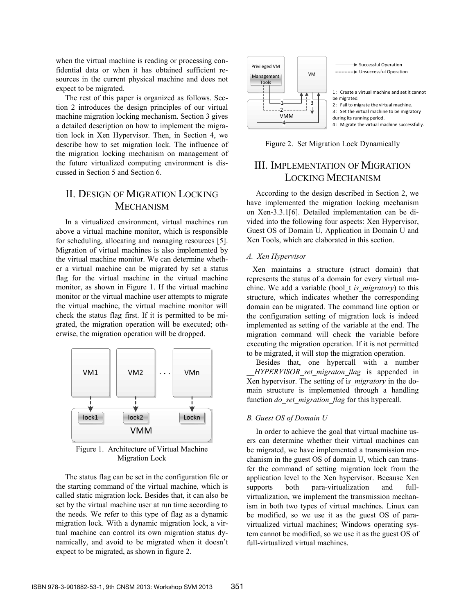when the virtual machine is reading or processing confidential data or when it has obtained sufficient resources in the current physical machine and does not expect to be migrated.

The rest of this paper is organized as follows. Section 2 introduces the design principles of our virtual machine migration locking mechanism. Section 3 gives a detailed description on how to implement the migration lock in Xen Hypervisor. Then, in Section 4, we describe how to set migration lock. The influence of the migration locking mechanism on management of the future virtualized computing environment is discussed in Section 5 and Section 6.

# II. DESIGN OF MIGRATION LOCKING **MECHANISM**

In a virtualized environment, virtual machines run above a virtual machine monitor, which is responsible for scheduling, allocating and managing resources [5]. Migration of virtual machines is also implemented by the virtual machine monitor. We can determine whether a virtual machine can be migrated by set a status flag for the virtual machine in the virtual machine monitor, as shown in Figure 1. If the virtual machine monitor or the virtual machine user attempts to migrate the virtual machine, the virtual machine monitor will check the status flag first. If it is permitted to be migrated, the migration operation will be executed; otherwise, the migration operation will be dropped.



Figure 1. Architecture of Virtual Machine Migration Lock

The status flag can be set in the configuration file or the starting command of the virtual machine, which is called static migration lock. Besides that, it can also be set by the virtual machine user at run time according to the needs. We refer to this type of flag as a dynamic migration lock. With a dynamic migration lock, a virtual machine can control its own migration status dynamically, and avoid to be migrated when it doesn't expect to be migrated, as shown in figure 2.



Figure 2. Set Migration Lock Dynamically

# III. IMPLEMENTATION OF MIGRATION LOCKING MECHANISM

According to the design described in Section 2, we have implemented the migration locking mechanism on Xen-3.3.1[6]. Detailed implementation can be divided into the following four aspects: Xen Hypervisor, Guest OS of Domain U, Application in Domain U and Xen Tools, which are elaborated in this section.

### *A. Xen Hypervisor*

 Xen maintains a structure (struct domain) that represents the status of a domain for every virtual machine. We add a variable (bool\_t *is\_migratory*) to this structure, which indicates whether the corresponding domain can be migrated. The command line option or the configuration setting of migration lock is indeed implemented as setting of the variable at the end. The migration command will check the variable before executing the migration operation. If it is not permitted to be migrated, it will stop the migration operation.

Besides that, one hypercall with a number *HYPERVISOR set migraton flag* is appended in Xen hypervisor. The setting of i*s\_migratory* in the domain structure is implemented through a handling function *do\_set\_migration\_flag* for this hypercall.

### *B. Guest OS of Domain U*

In order to achieve the goal that virtual machine users can determine whether their virtual machines can be migrated, we have implemented a transmission mechanism in the guest OS of domain U, which can transfer the command of setting migration lock from the application level to the Xen hypervisor. Because Xen supports both para-virtualization and fullvirtualization, we implement the transmission mechanism in both two types of virtual machines. Linux can be modified, so we use it as the guest OS of paravirtualized virtual machines; Windows operating system cannot be modified, so we use it as the guest OS of full-virtualized virtual machines.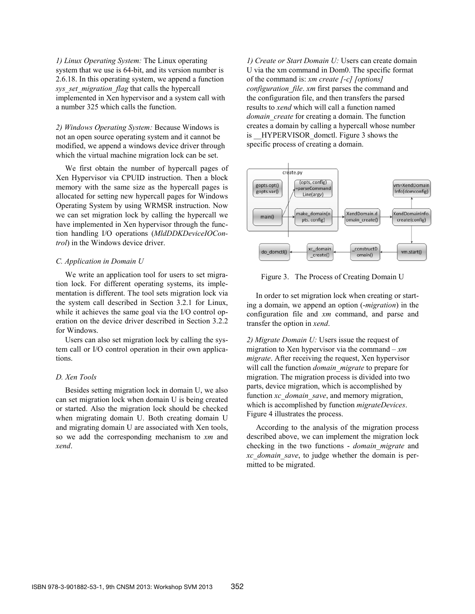*1) Linux Operating System:* The Linux operating system that we use is 64-bit, and its version number is 2.6.18. In this operating system, we append a function *sys\_set\_migration\_flag* that calls the hypercall implemented in Xen hypervisor and a system call with a number 325 which calls the function.

*2) Windows Operating System:* Because Windows is not an open source operating system and it cannot be modified, we append a windows device driver through which the virtual machine migration lock can be set.

We first obtain the number of hypercall pages of Xen Hypervisor via CPUID instruction. Then a block memory with the same size as the hypercall pages is allocated for setting new hypercall pages for Windows Operating System by using WRMSR instruction. Now we can set migration lock by calling the hypercall we have implemented in Xen hypervisor through the function handling I/O operations (*MldDDKDeviceIOControl*) in the Windows device driver.

#### *C. Application in Domain U*

We write an application tool for users to set migration lock. For different operating systems, its implementation is different. The tool sets migration lock via the system call described in Section 3.2.1 for Linux, while it achieves the same goal via the I/O control operation on the device driver described in Section 3.2.2 for Windows.

Users can also set migration lock by calling the system call or I/O control operation in their own applications.

### *D. Xen Tools*

Besides setting migration lock in domain U, we also can set migration lock when domain U is being created or started. Also the migration lock should be checked when migrating domain U. Both creating domain U and migrating domain U are associated with Xen tools, so we add the corresponding mechanism to *xm* and *xend*.

*1) Create or Start Domain U:* Users can create domain U via the xm command in Dom0. The specific format of the command is: *xm create [-c] [options] configuration\_file*. *xm* first parses the command and the configuration file, and then transfers the parsed results to *xend* which will call a function named *domain\_create* for creating a domain. The function creates a domain by calling a hypercall whose number is HYPERVISOR dometl. Figure 3 shows the specific process of creating a domain.



Figure 3. The Process of Creating Domain U

In order to set migration lock when creating or starting a domain, we append an option (-*migration*) in the configuration file and *xm* command, and parse and transfer the option in *xend*.

*2) Migrate Domain U:* Users issue the request of migration to Xen hypervisor via the command – *xm migrate*. After receiving the request, Xen hypervisor will call the function *domain\_migrate* to prepare for migration. The migration process is divided into two parts, device migration, which is accomplished by function *xc\_domain\_save*, and memory migration, which is accomplished by function *migrateDevices*. Figure 4 illustrates the process.

According to the analysis of the migration process described above, we can implement the migration lock checking in the two functions - *domain\_migrate* and *xc\_domain\_save*, to judge whether the domain is permitted to be migrated.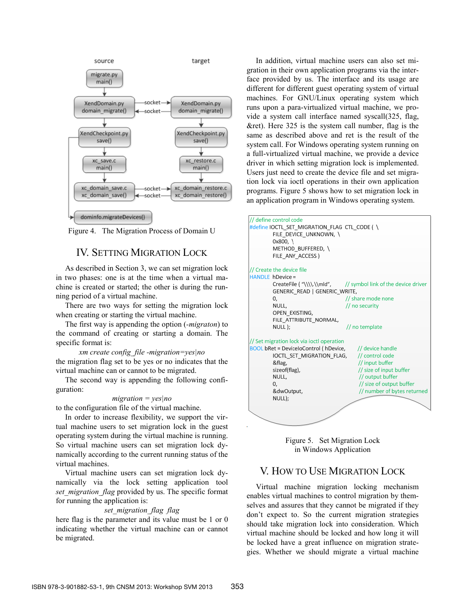

Figure 4. The Migration Process of Domain U

# IV. SETTING MIGRATION LOCK

As described in Section 3, we can set migration lock in two phases: one is at the time when a virtual machine is created or started; the other is during the running period of a virtual machine.

There are two ways for setting the migration lock when creating or starting the virtual machine.

The first way is appending the option (*-migraton*) to the command of creating or starting a domain. The specific format is:

*xm create config\_file -migration=yes|no* the migration flag set to be yes or no indicates that the virtual machine can or cannot to be migrated.

The second way is appending the following configuration:

#### *migration = yes|no*

to the configuration file of the virtual machine.

In order to increase flexibility, we support the virtual machine users to set migration lock in the guest operating system during the virtual machine is running. So virtual machine users can set migration lock dynamically according to the current running status of the virtual machines.

Virtual machine users can set migration lock dynamically via the lock setting application tool *set migration flag* provided by us. The specific format for running the application is:

### *set\_migration\_flag flag*

here flag is the parameter and its value must be 1 or 0 indicating whether the virtual machine can or cannot be migrated.

In addition, virtual machine users can also set migration in their own application programs via the interface provided by us. The interface and its usage are different for different guest operating system of virtual machines. For GNU/Linux operating system which runs upon a para-virtualized virtual machine, we provide a system call interface named syscall(325, flag, &ret). Here 325 is the system call number, flag is the same as described above and ret is the result of the system call. For Windows operating system running on a full-virtualized virtual machine, we provide a device driver in which setting migration lock is implemented. Users just need to create the device file and set migration lock via ioctl operations in their own application programs. Figure 5 shows how to set migration lock in an application program in Windows operating system.





### V. HOW TO USE MIGRATION LOCK

Virtual machine migration locking mechanism enables virtual machines to control migration by themselves and assures that they cannot be migrated if they don't expect to. So the current migration strategies should take migration lock into consideration. Which virtual machine should be locked and how long it will be locked have a great influence on migration strategies. Whether we should migrate a virtual machine